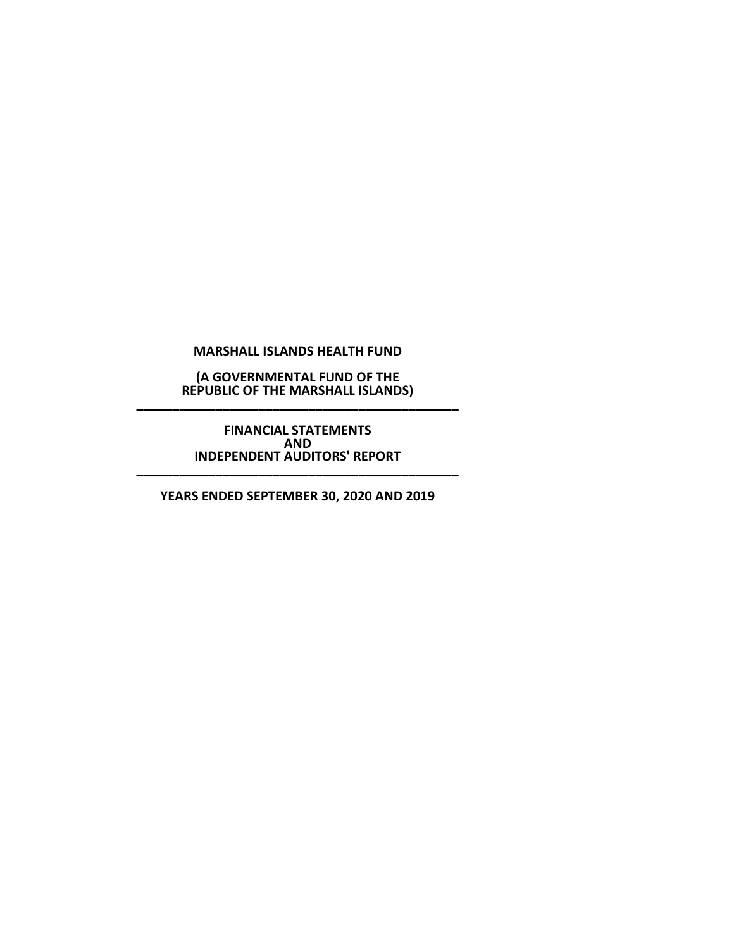**(A GOVERNMENTAL FUND OF THE REPUBLIC OF THE MARSHALL ISLANDS) \_\_\_\_\_\_\_\_\_\_\_\_\_\_\_\_\_\_\_\_\_\_\_\_\_\_\_\_\_\_\_\_\_\_\_\_\_\_\_\_\_\_\_\_\_**

> **FINANCIAL STATEMENTS AND INDEPENDENT AUDITORS' REPORT**

**\_\_\_\_\_\_\_\_\_\_\_\_\_\_\_\_\_\_\_\_\_\_\_\_\_\_\_\_\_\_\_\_\_\_\_\_\_\_\_\_\_\_\_\_\_**

**YEARS ENDED SEPTEMBER 30, 2020 AND 2019**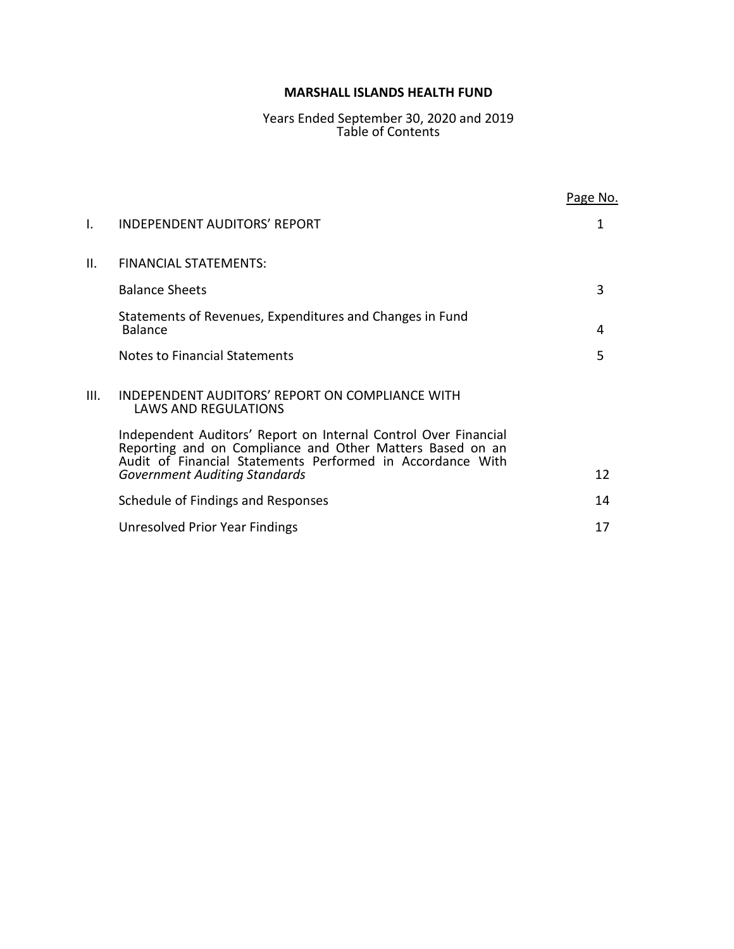# Years Ended September 30, 2020 and 2019 Table of Contents

|      |                                                                                                                                                                                            | Page No. |
|------|--------------------------------------------------------------------------------------------------------------------------------------------------------------------------------------------|----------|
| I.   | INDEPENDENT AUDITORS' REPORT                                                                                                                                                               | 1        |
| II.  | <b>FINANCIAL STATEMENTS:</b>                                                                                                                                                               |          |
|      | <b>Balance Sheets</b>                                                                                                                                                                      | 3        |
|      | Statements of Revenues, Expenditures and Changes in Fund<br><b>Balance</b>                                                                                                                 | 4        |
|      | Notes to Financial Statements                                                                                                                                                              | 5        |
| III. | INDEPENDENT AUDITORS' REPORT ON COMPLIANCE WITH<br><b>LAWS AND REGULATIONS</b>                                                                                                             |          |
|      | Independent Auditors' Report on Internal Control Over Financial<br>Reporting and on Compliance and Other Matters Based on an<br>Audit of Financial Statements Performed in Accordance With |          |
|      | <b>Government Auditing Standards</b>                                                                                                                                                       | 12       |
|      | Schedule of Findings and Responses                                                                                                                                                         | 14       |
|      | Unresolved Prior Year Findings                                                                                                                                                             | 17       |
|      |                                                                                                                                                                                            |          |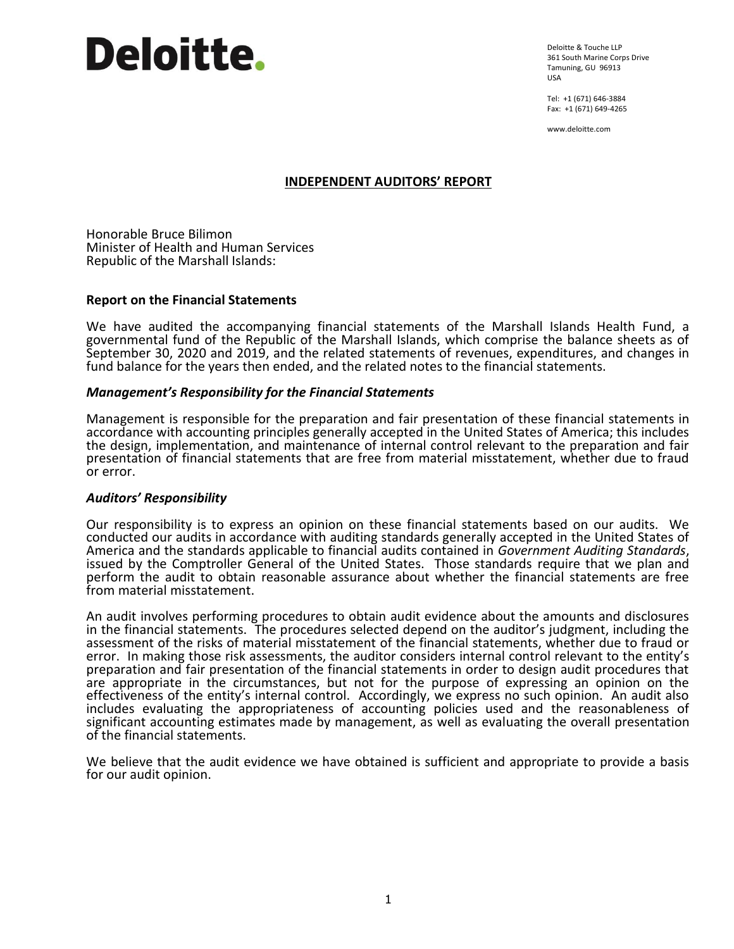Deloitte & Touche LLP 361 South Marine Corps Drive Tamuning, GU 96913 USA

Tel: +1 (671) 646-3884 Fax: +1 (671) 649-4265

www.deloitte.com

# **INDEPENDENT AUDITORS' REPORT**

Honorable Bruce Bilimon Minister of Health and Human Services Republic of the Marshall Islands:

# **Report on the Financial Statements**

We have audited the accompanying financial statements of the Marshall Islands Health Fund, a governmental fund of the Republic of the Marshall Islands, which comprise the balance sheets as of September 30, 2020 and 2019, and the related statements of revenues, expenditures, and changes in fund balance for the years then ended, and the related notes to the financial statements.

# *Management's Responsibility for the Financial Statements*

Management is responsible for the preparation and fair presentation of these financial statements in accordance with accounting principles generally accepted in the United States of America; this includes the design, implementation, and maintenance of internal control relevant to the preparation and fair presentation of financial statements that are free from material misstatement, whether due to fraud or error.

# *Auditors' Responsibility*

Our responsibility is to express an opinion on these financial statements based on our audits. We conducted our audits in accordance with auditing standards generally accepted in the United States of America and the standards applicable to financial audits contained in *Government Auditing Standards*, issued by the Comptroller General of the United States. Those standards require that we plan and perform the audit to obtain reasonable assurance about whether the financial statements are free from material misstatement.

An audit involves performing procedures to obtain audit evidence about the amounts and disclosures in the financial statements. The procedures selected depend on the auditor's judgment, including the assessment of the risks of material misstatement of the financial statements, whether due to fraud or error. In making those risk assessments, the auditor considers internal control relevant to the entity's preparation and fair presentation of the financial statements in order to design audit procedures that are appropriate in the circumstances, but not for the purpose of expressing an opinion on the effectiveness of the entity's internal control. Accordingly, we express no such opinion. An audit also includes evaluating the appropriateness of accounting policies used and the reasonableness of significant accounting estimates made by management, as well as evaluating the overall presentation of the financial statements.

We believe that the audit evidence we have obtained is sufficient and appropriate to provide a basis for our audit opinion.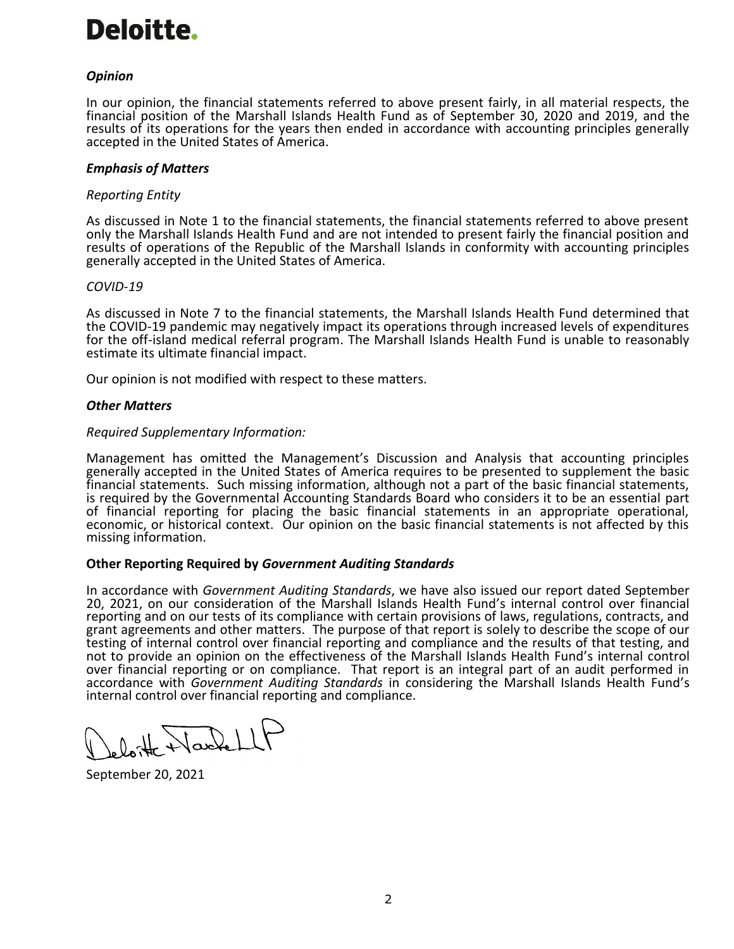# *Opinion*

In our opinion, the financial statements referred to above present fairly, in all material respects, the financial position of the Marshall Islands Health Fund as of September 30, 2020 and 2019, and the results of its operations for the years then ended in accordance with accounting principles generally accepted in the United States of America.

# *Emphasis of Matters*

# *Reporting Entity*

As discussed in Note 1 to the financial statements, the financial statements referred to above present only the Marshall Islands Health Fund and are not intended to present fairly the financial position and results of operations of the Republic of the Marshall Islands in conformity with accounting principles generally accepted in the United States of America.

# *COVID-19*

As discussed in Note 7 to the financial statements, the Marshall Islands Health Fund determined that the COVID-19 pandemic may negatively impact its operations through increased levels of expenditures for the off-island medical referral program. The Marshall Islands Health Fund is unable to reasonably estimate its ultimate financial impact.

Our opinion is not modified with respect to these matters.

# *Other Matters*

#### *Required Supplementary Information:*

Management has omitted the Management's Discussion and Analysis that accounting principles generally accepted in the United States of America requires to be presented to supplement the basic financial statements. Such missing information, although not a part of the basic financial statements, is required by the Governmental Accounting Standards Board who considers it to be an essential part of financial reporting for placing the basic financial statements in an appropriate operational, economic, or historical context. Our opinion on the basic financial statements is not affected by this missing information.

# **Other Reporting Required by** *Government Auditing Standards*

In accordance with *Government Auditing Standards*, we have also issued our report dated September 20, 2021, on our consideration of the Marshall Islands Health Fund's internal control over financial reporting and on our tests of its compliance with certain provisions of laws, regulations, contracts, and grant agreements and other matters. The purpose of that report is solely to describe the scope of our testing of internal control over financial reporting and compliance and the results of that testing, and not to provide an opinion on the effectiveness of the Marshall Islands Health Fund's internal control over financial reporting or on compliance. That report is an integral part of an audit performed in accordance with *Government Auditing Standards* in considering the Marshall Islands Health Fund's internal control over financial reporting and compliance.

loite Nachel

September 20, 2021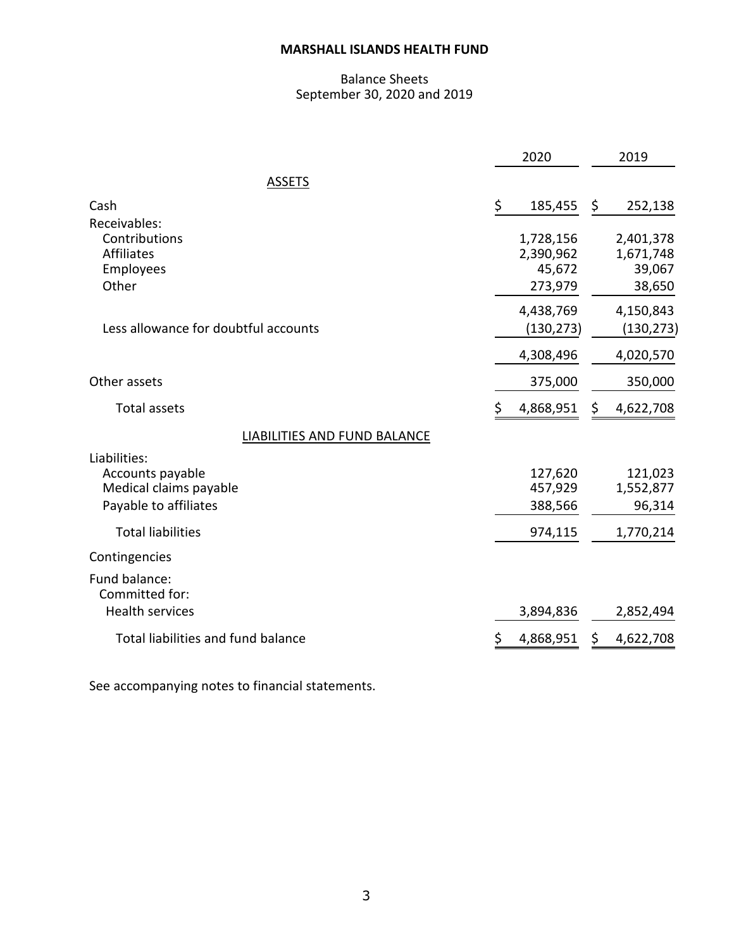# Balance Sheets September 30, 2020 and 2019

|                                                                                     | 2020                                        | 2019                                       |
|-------------------------------------------------------------------------------------|---------------------------------------------|--------------------------------------------|
| <b>ASSETS</b>                                                                       |                                             |                                            |
| Cash                                                                                | \$<br>185,455                               | \$<br>252,138                              |
| Receivables:<br>Contributions<br><b>Affiliates</b><br>Employees<br>Other            | 1,728,156<br>2,390,962<br>45,672<br>273,979 | 2,401,378<br>1,671,748<br>39,067<br>38,650 |
| Less allowance for doubtful accounts                                                | 4,438,769<br>(130, 273)                     | 4,150,843<br>(130, 273)                    |
|                                                                                     | 4,308,496                                   | 4,020,570                                  |
| Other assets                                                                        | 375,000                                     | 350,000                                    |
| <b>Total assets</b>                                                                 | \$<br>4,868,951                             | \$<br>4,622,708                            |
| <b>LIABILITIES AND FUND BALANCE</b>                                                 |                                             |                                            |
| Liabilities:<br>Accounts payable<br>Medical claims payable<br>Payable to affiliates | 127,620<br>457,929<br>388,566               | 121,023<br>1,552,877<br>96,314             |
| <b>Total liabilities</b>                                                            | 974,115                                     | 1,770,214                                  |
| Contingencies                                                                       |                                             |                                            |
| Fund balance:<br>Committed for:<br><b>Health services</b>                           | 3,894,836                                   | 2,852,494                                  |
| Total liabilities and fund balance                                                  | \$<br>4,868,951                             | \$<br>4,622,708                            |

See accompanying notes to financial statements.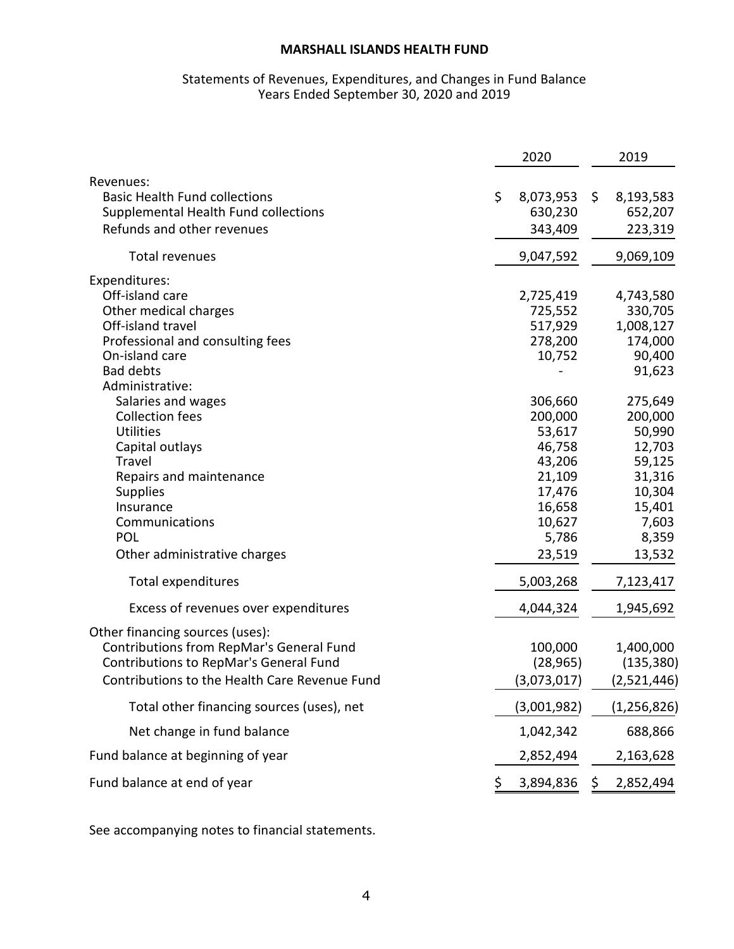# Statements of Revenues, Expenditures, and Changes in Fund Balance Years Ended September 30, 2020 and 2019

|                                                                                                                                                                                                                     |     | 2020                                                                                                        | 2019                                                                                                       |
|---------------------------------------------------------------------------------------------------------------------------------------------------------------------------------------------------------------------|-----|-------------------------------------------------------------------------------------------------------------|------------------------------------------------------------------------------------------------------------|
| Revenues:<br><b>Basic Health Fund collections</b><br>Supplemental Health Fund collections<br>Refunds and other revenues                                                                                             | \$  | 8,073,953<br>630,230<br>343,409                                                                             | \$<br>8,193,583<br>652,207<br>223,319                                                                      |
| Total revenues                                                                                                                                                                                                      |     | 9,047,592                                                                                                   | 9,069,109                                                                                                  |
| Expenditures:<br>Off-island care<br>Other medical charges<br>Off-island travel<br>Professional and consulting fees<br>On-island care<br><b>Bad debts</b><br>Administrative:                                         |     | 2,725,419<br>725,552<br>517,929<br>278,200<br>10,752                                                        | 4,743,580<br>330,705<br>1,008,127<br>174,000<br>90,400<br>91,623                                           |
| Salaries and wages<br><b>Collection fees</b><br><b>Utilities</b><br>Capital outlays<br>Travel<br>Repairs and maintenance<br><b>Supplies</b><br>Insurance<br>Communications<br>POL<br>Other administrative charges   |     | 306,660<br>200,000<br>53,617<br>46,758<br>43,206<br>21,109<br>17,476<br>16,658<br>10,627<br>5,786<br>23,519 | 275,649<br>200,000<br>50,990<br>12,703<br>59,125<br>31,316<br>10,304<br>15,401<br>7,603<br>8,359<br>13,532 |
| Total expenditures                                                                                                                                                                                                  |     | 5,003,268                                                                                                   | 7,123,417                                                                                                  |
| Excess of revenues over expenditures                                                                                                                                                                                |     | 4,044,324                                                                                                   | 1,945,692                                                                                                  |
| Other financing sources (uses):<br>Contributions from RepMar's General Fund<br>Contributions to RepMar's General Fund<br>Contributions to the Health Care Revenue Fund<br>Total other financing sources (uses), net |     | 100,000<br>(28, 965)<br>(3,073,017)<br>(3,001,982)                                                          | 1,400,000<br>(135, 380)<br>(2,521,446)<br>(1, 256, 826)                                                    |
| Net change in fund balance                                                                                                                                                                                          |     | 1,042,342                                                                                                   | 688,866                                                                                                    |
| Fund balance at beginning of year                                                                                                                                                                                   |     | 2,852,494                                                                                                   | 2,163,628                                                                                                  |
| Fund balance at end of year                                                                                                                                                                                         | \$. | 3,894,836                                                                                                   | \$<br>2,852,494                                                                                            |

See accompanying notes to financial statements.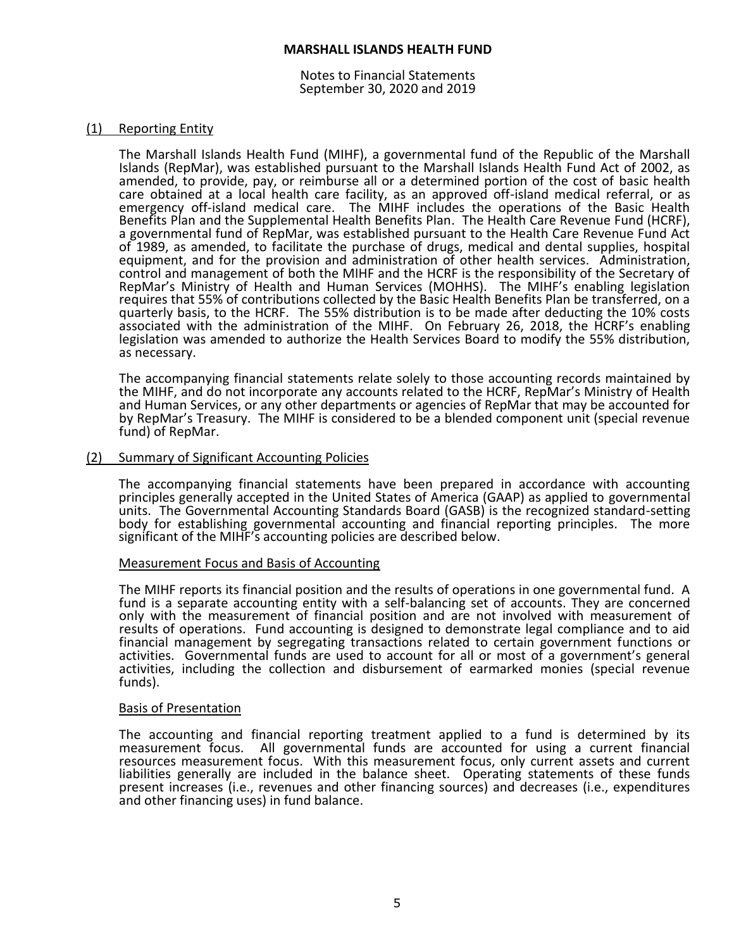Notes to Financial Statements September 30, 2020 and 2019

#### (1) Reporting Entity

The Marshall Islands Health Fund (MIHF), a governmental fund of the Republic of the Marshall Islands (RepMar), was established pursuant to the Marshall Islands Health Fund Act of 2002, as amended, to provide, pay, or reimburse all or a determined portion of the cost of basic health care obtained at a local health care facility, as an approved off-island medical referral, or as emergency off-island medical care. The MIHF includes the operations of the Basic Health Benefits Plan and the Supplemental Health Benefits Plan. The Health Care Revenue Fund (HCRF), a governmental fund of RepMar, was established pursuant to the Health Care Revenue Fund Act of 1989, as amended, to facilitate the purchase of drugs, medical and dental supplies, hospital equipment, and for the provision and administration of other health services. Administration, control and management of both the MIHF and the HCRF is the responsibility of the Secretary of RepMar's Ministry of Health and Human Services (MOHHS). The MIHF's enabling legislation requires that 55% of contributions collected by the Basic Health Benefits Plan be transferred, on a quarterly basis, to the HCRF. The 55% distribution is to be made after deducting the 10% costs associated with the administration of the MIHF. On February 26, 2018, the HCRF's enabling legislation was amended to authorize the Health Services Board to modify the 55% distribution, as necessary.

The accompanying financial statements relate solely to those accounting records maintained by the MIHF, and do not incorporate any accounts related to the HCRF, RepMar's Ministry of Health and Human Services, or any other departments or agencies of RepMar that may be accounted for by RepMar's Treasury. The MIHF is considered to be a blended component unit (special revenue fund) of RepMar.

#### (2) Summary of Significant Accounting Policies

The accompanying financial statements have been prepared in accordance with accounting principles generally accepted in the United States of America (GAAP) as applied to governmental units. The Governmental Accounting Standards Board (GASB) is the recognized standard-setting body for establishing governmental accounting and financial reporting principles. The more significant of the MIHF's accounting policies are described below.

#### Measurement Focus and Basis of Accounting

The MIHF reports its financial position and the results of operations in one governmental fund. A fund is a separate accounting entity with a self-balancing set of accounts. They are concerned only with the measurement of financial position and are not involved with measurement of results of operations. Fund accounting is designed to demonstrate legal compliance and to aid financial management by segregating transactions related to certain government functions or activities. Governmental funds are used to account for all or most of a government's general activities, including the collection and disbursement of earmarked monies (special revenue funds).

#### Basis of Presentation

The accounting and financial reporting treatment applied to a fund is determined by its measurement focus. All governmental funds are accounted for using a current financial resources measurement focus. With this measurement focus, only current assets and current liabilities generally are included in the balance sheet. Operating statements of these funds present increases (i.e., revenues and other financing sources) and decreases (i.e., expenditures and other financing uses) in fund balance.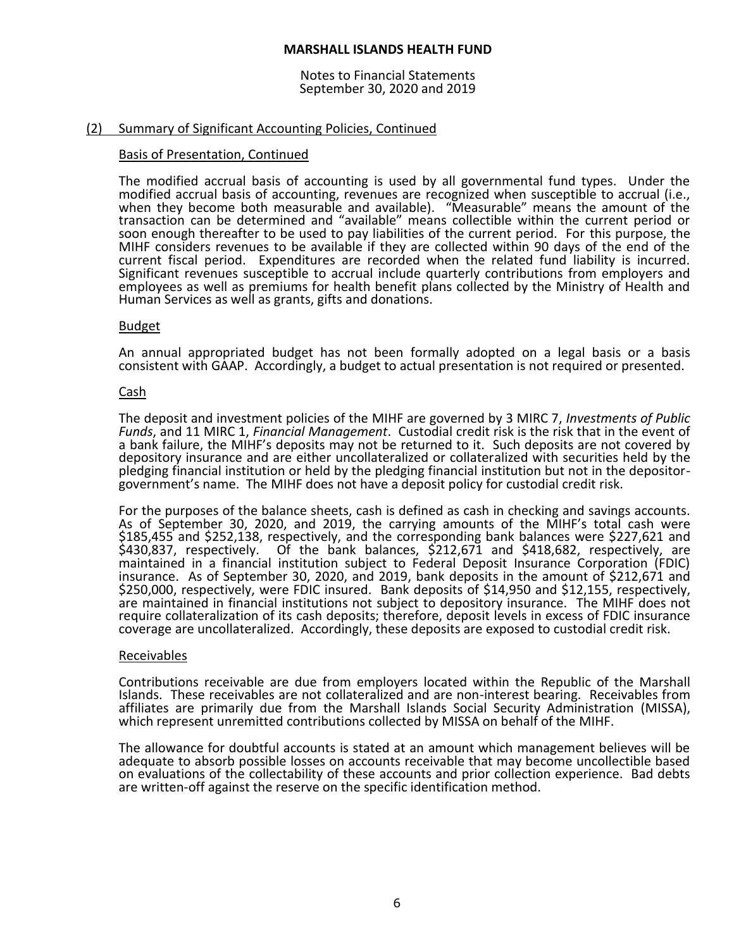Notes to Financial Statements September 30, 2020 and 2019

# (2) Summary of Significant Accounting Policies, Continued

# Basis of Presentation, Continued

The modified accrual basis of accounting is used by all governmental fund types. Under the modified accrual basis of accounting, revenues are recognized when susceptible to accrual (i.e., when they become both measurable and available). "Measurable" means the amount of the transaction can be determined and "available" means collectible within the current period or soon enough thereafter to be used to pay liabilities of the current period. For this purpose, the MIHF considers revenues to be available if they are collected within 90 days of the end of the current fiscal period. Expenditures are recorded when the related fund liability is incurred. Significant revenues susceptible to accrual include quarterly contributions from employers and employees as well as premiums for health benefit plans collected by the Ministry of Health and Human Services as well as grants, gifts and donations.

# Budget

An annual appropriated budget has not been formally adopted on a legal basis or a basis consistent with GAAP. Accordingly, a budget to actual presentation is not required or presented.

# Cash

The deposit and investment policies of the MIHF are governed by 3 MIRC 7, *Investments of Public Funds*, and 11 MIRC 1, *Financial Management*. Custodial credit risk is the risk that in the event of a bank failure, the MIHF's deposits may not be returned to it. Such deposits are not covered by depository insurance and are either uncollateralized or collateralized with securities held by the pledging financial institution or held by the pledging financial institution but not in the depositorgovernment's name. The MIHF does not have a deposit policy for custodial credit risk.

For the purposes of the balance sheets, cash is defined as cash in checking and savings accounts. As of September 30, 2020, and 2019, the carrying amounts of the MIHF's total cash were \$185,455 and \$252,138, respectively, and the corresponding bank balances were \$227,621 and \$430,837, respectively. Of the bank balances, \$212,671 and \$418,682, respectively, are maintained in a financial institution subject to Federal Deposit Insurance Corporation (FDIC) insurance. As of September 30, 2020, and 2019, bank deposits in the amount of \$212,671 and \$250,000, respectively, were FDIC insured. Bank deposits of \$14,950 and \$12,155, respectively, are maintained in financial institutions not subject to depository insurance. The MIHF does not require collateralization of its cash deposits; therefore, deposit levels in excess of FDIC insurance coverage are uncollateralized. Accordingly, these deposits are exposed to custodial credit risk.

# Receivables

Contributions receivable are due from employers located within the Republic of the Marshall Islands. These receivables are not collateralized and are non-interest bearing. Receivables from affiliates are primarily due from the Marshall Islands Social Security Administration (MISSA), which represent unremitted contributions collected by MISSA on behalf of the MIHF.

The allowance for doubtful accounts is stated at an amount which management believes will be adequate to absorb possible losses on accounts receivable that may become uncollectible based on evaluations of the collectability of these accounts and prior collection experience. Bad debts are written-off against the reserve on the specific identification method.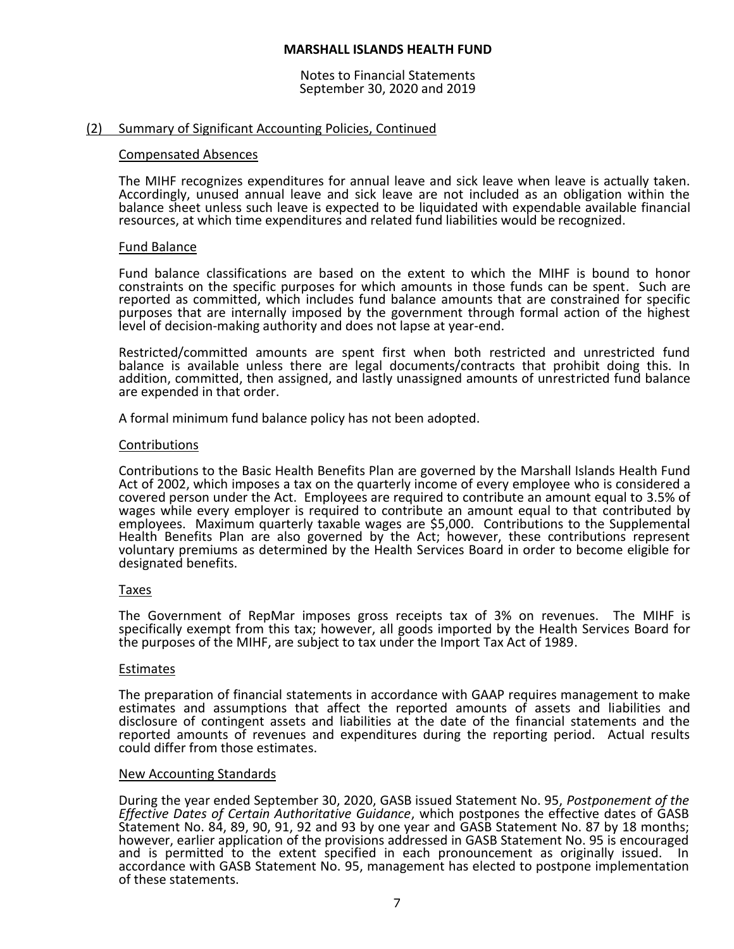Notes to Financial Statements September 30, 2020 and 2019

#### (2) Summary of Significant Accounting Policies, Continued

#### Compensated Absences

The MIHF recognizes expenditures for annual leave and sick leave when leave is actually taken. Accordingly, unused annual leave and sick leave are not included as an obligation within the balance sheet unless such leave is expected to be liquidated with expendable available financial resources, at which time expenditures and related fund liabilities would be recognized.

#### Fund Balance

Fund balance classifications are based on the extent to which the MIHF is bound to honor constraints on the specific purposes for which amounts in those funds can be spent. Such are reported as committed, which includes fund balance amounts that are constrained for specific purposes that are internally imposed by the government through formal action of the highest level of decision-making authority and does not lapse at year-end.

Restricted/committed amounts are spent first when both restricted and unrestricted fund balance is available unless there are legal documents/contracts that prohibit doing this. In addition, committed, then assigned, and lastly unassigned amounts of unrestricted fund balance are expended in that order.

A formal minimum fund balance policy has not been adopted.

#### Contributions

Contributions to the Basic Health Benefits Plan are governed by the Marshall Islands Health Fund Act of 2002, which imposes a tax on the quarterly income of every employee who is considered a covered person under the Act. Employees are required to contribute an amount equal to 3.5% of wages while every employer is required to contribute an amount equal to that contributed by employees. Maximum quarterly taxable wages are \$5,000. Contributions to the Supplemental Health Benefits Plan are also governed by the Act; however, these contributions represent voluntary premiums as determined by the Health Services Board in order to become eligible for designated benefits.

#### Taxes

The Government of RepMar imposes gross receipts tax of 3% on revenues. The MIHF is specifically exempt from this tax; however, all goods imported by the Health Services Board for the purposes of the MIHF, are subject to tax under the Import Tax Act of 1989.

#### Estimates

The preparation of financial statements in accordance with GAAP requires management to make estimates and assumptions that affect the reported amounts of assets and liabilities and disclosure of contingent assets and liabilities at the date of the financial statements and the reported amounts of revenues and expenditures during the reporting period. Actual results could differ from those estimates.

#### New Accounting Standards

During the year ended September 30, 2020, GASB issued Statement No. 95, *Postponement of the Effective Dates of Certain Authoritative Guidance*, which postpones the effective dates of GASB Statement No. 84, 89, 90, 91, 92 and 93 by one year and GASB Statement No. 87 by 18 months; however, earlier application of the provisions addressed in GASB Statement No. 95 is encouraged and is permitted to the extent specified in each pronouncement as originally issued. In accordance with GASB Statement No. 95, management has elected to postpone implementation of these statements.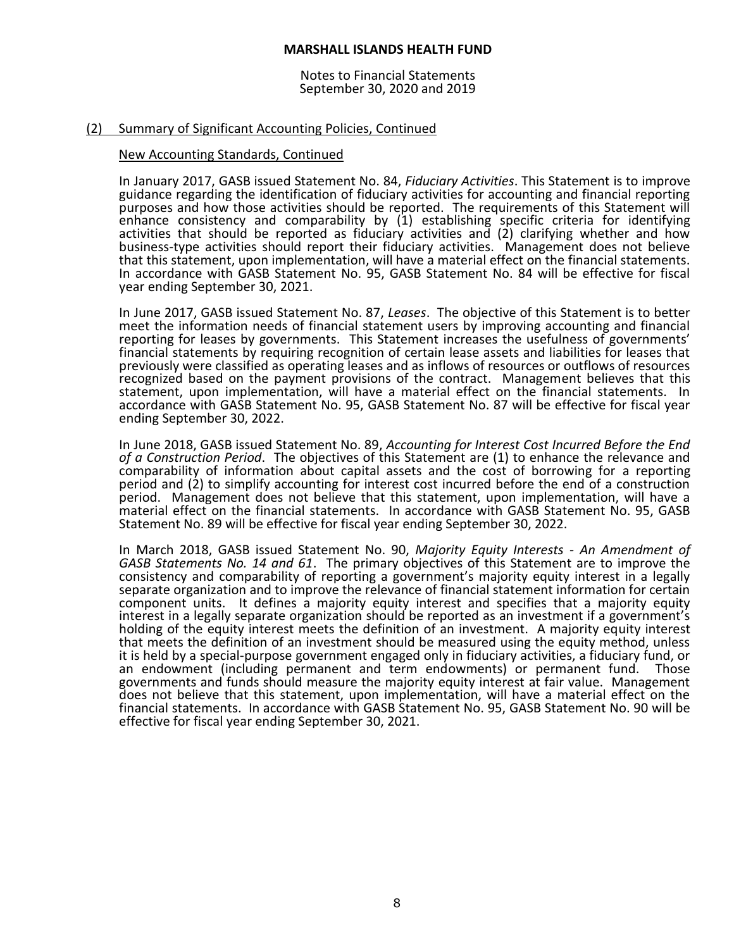Notes to Financial Statements September 30, 2020 and 2019

#### (2) Summary of Significant Accounting Policies, Continued

#### New Accounting Standards, Continued

In January 2017, GASB issued Statement No. 84, *Fiduciary Activities*. This Statement is to improve guidance regarding the identification of fiduciary activities for accounting and financial reporting purposes and how those activities should be reported. The requirements of this Statement will enhance consistency and comparability by (1) establishing specific criteria for identifying activities that should be reported as fiduciary activities and (2) clarifying whether and how business-type activities should report their fiduciary activities. Management does not believe that this statement, upon implementation, will have a material effect on the financial statements. In accordance with GASB Statement No. 95, GASB Statement No. 84 will be effective for fiscal year ending September 30, 2021.

In June 2017, GASB issued Statement No. 87, *Leases*. The objective of this Statement is to better meet the information needs of financial statement users by improving accounting and financial reporting for leases by governments. This Statement increases the usefulness of governments' financial statements by requiring recognition of certain lease assets and liabilities for leases that previously were classified as operating leases and as inflows of resources or outflows of resources recognized based on the payment provisions of the contract. Management believes that this statement, upon implementation, will have a material effect on the financial statements. In accordance with GASB Statement No. 95, GASB Statement No. 87 will be effective for fiscal year ending September 30, 2022.

In June 2018, GASB issued Statement No. 89, *Accounting for Interest Cost Incurred Before the End of a Construction Period*. The objectives of this Statement are (1) to enhance the relevance and comparability of information about capital assets and the cost of borrowing for a reporting period and (2) to simplify accounting for interest cost incurred before the end of a construction period. Management does not believe that this statement, upon implementation, will have a material effect on the financial statements. In accordance with GASB Statement No. 95, GASB Statement No. 89 will be effective for fiscal year ending September 30, 2022.

In March 2018, GASB issued Statement No. 90, *Majority Equity Interests - An Amendment of GASB Statements No. 14 and 61*. The primary objectives of this Statement are to improve the consistency and comparability of reporting a government's majority equity interest in a legally separate organization and to improve the relevance of financial statement information for certain component units. It defines a majority equity interest and specifies that a majority equity interest in a legally separate organization should be reported as an investment if a government's holding of the equity interest meets the definition of an investment. A majority equity interest that meets the definition of an investment should be measured using the equity method, unless it is held by a special-purpose government engaged only in fiduciary activities, a fiduciary fund, or an endowment (including permanent and term endowments) or permanent fund. Those governments and funds should measure the majority equity interest at fair value. Management does not believe that this statement, upon implementation, will have a material effect on the financial statements. In accordance with GASB Statement No. 95, GASB Statement No. 90 will be effective for fiscal year ending September 30, 2021.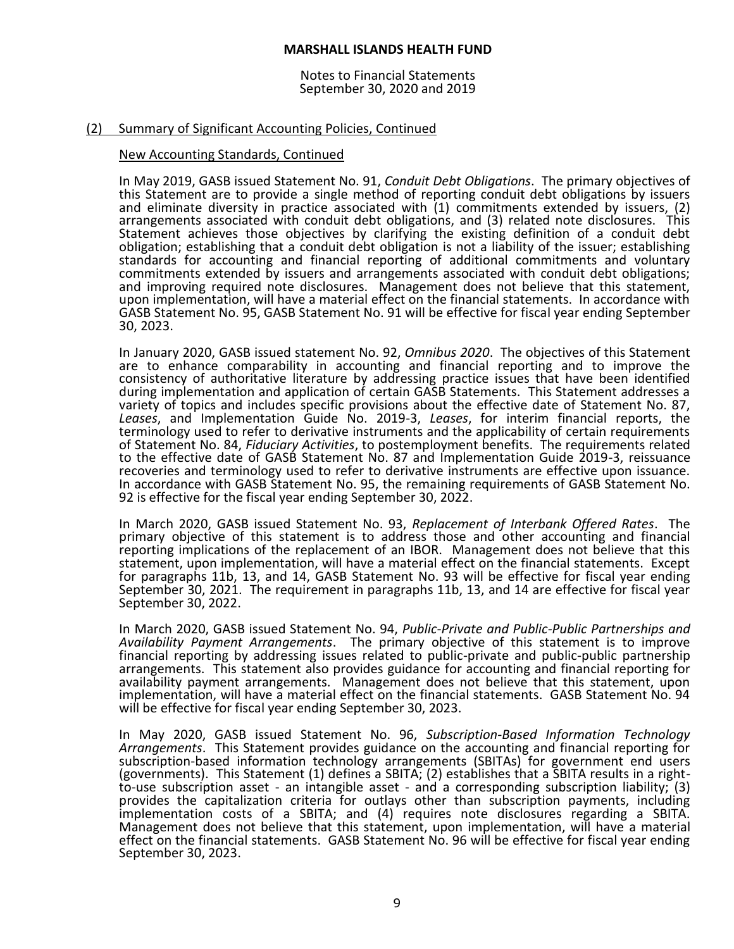Notes to Financial Statements September 30, 2020 and 2019

#### (2) Summary of Significant Accounting Policies, Continued

#### New Accounting Standards, Continued

In May 2019, GASB issued Statement No. 91, *Conduit Debt Obligations*. The primary objectives of this Statement are to provide a single method of reporting conduit debt obligations by issuers and eliminate diversity in practice associated with (1) commitments extended by issuers, (2) arrangements associated with conduit debt obligations, and (3) related note disclosures. This Statement achieves those objectives by clarifying the existing definition of a conduit debt obligation; establishing that a conduit debt obligation is not a liability of the issuer; establishing standards for accounting and financial reporting of additional commitments and voluntary commitments extended by issuers and arrangements associated with conduit debt obligations; and improving required note disclosures. Management does not believe that this statement, upon implementation, will have a material effect on the financial statements. In accordance with GASB Statement No. 95, GASB Statement No. 91 will be effective for fiscal year ending September 30, 2023.

In January 2020, GASB issued statement No. 92, *Omnibus 2020*. The objectives of this Statement are to enhance comparability in accounting and financial reporting and to improve the consistency of authoritative literature by addressing practice issues that have been identified during implementation and application of certain GASB Statements. This Statement addresses a variety of topics and includes specific provisions about the effective date of Statement No. 87, *Leases*, and Implementation Guide No. 2019-3, *Leases*, for interim financial reports, the terminology used to refer to derivative instruments and the applicability of certain requirements of Statement No. 84, *Fiduciary Activities*, to postemployment benefits. The requirements related to the effective date of GASB Statement No. 87 and Implementation Guide 2019-3, reissuance recoveries and terminology used to refer to derivative instruments are effective upon issuance. In accordance with GASB Statement No. 95, the remaining requirements of GASB Statement No. 92 is effective for the fiscal year ending September 30, 2022.

In March 2020, GASB issued Statement No. 93, *Replacement of Interbank Offered Rates*. The primary objective of this statement is to address those and other accounting and financial reporting implications of the replacement of an IBOR. Management does not believe that this statement, upon implementation, will have a material effect on the financial statements. Except for paragraphs 11b, 13, and 14, GASB Statement No. 93 will be effective for fiscal year ending September 30, 2021. The requirement in paragraphs 11b, 13, and 14 are effective for fiscal year September 30, 2022.

In March 2020, GASB issued Statement No. 94, *Public-Private and Public-Public Partnerships and Availability Payment Arrangements*. The primary objective of this statement is to improve financial reporting by addressing issues related to public-private and public-public partnership arrangements. This statement also provides guidance for accounting and financial reporting for availability payment arrangements. Management does not believe that this statement, upon implementation, will have a material effect on the financial statements. GASB Statement No. 94 will be effective for fiscal year ending September 30, 2023.

In May 2020, GASB issued Statement No. 96, *Subscription-Based Information Technology Arrangements*. This Statement provides guidance on the accounting and financial reporting for subscription-based information technology arrangements (SBITAs) for government end users (governments). This Statement (1) defines a SBITA; (2) establishes that a SBITA results in a rightto-use subscription asset - an intangible asset - and a corresponding subscription liability; (3) provides the capitalization criteria for outlays other than subscription payments, including implementation costs of a SBITA; and (4) requires note disclosures regarding a SBITA. Management does not believe that this statement, upon implementation, will have a material effect on the financial statements. GASB Statement No. 96 will be effective for fiscal year ending September 30, 2023.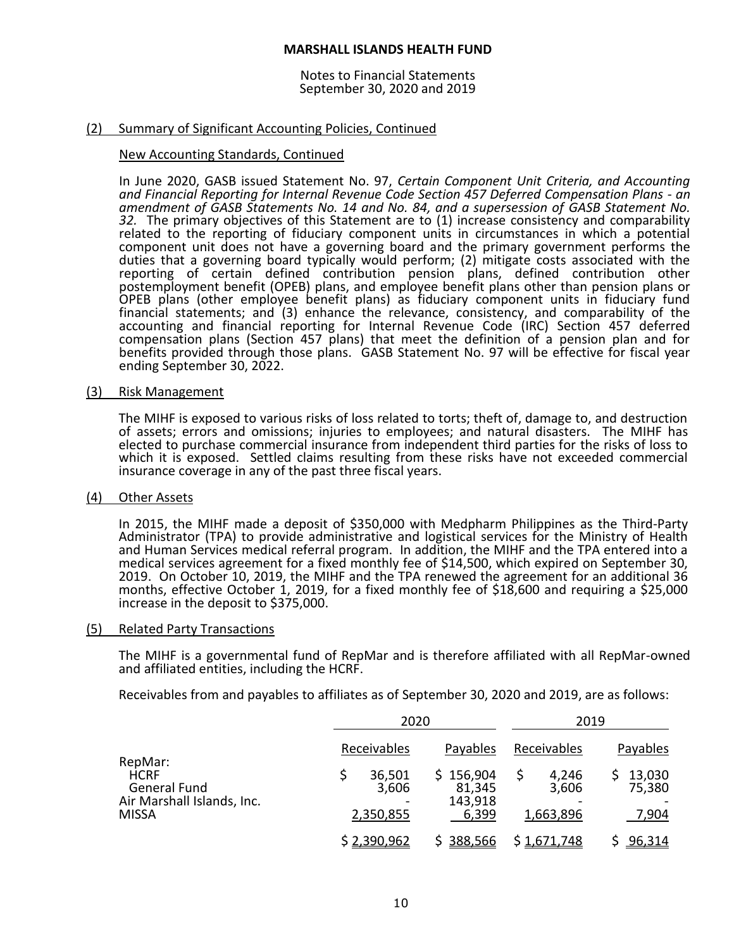Notes to Financial Statements September 30, 2020 and 2019

#### (2) Summary of Significant Accounting Policies, Continued

#### New Accounting Standards, Continued

In June 2020, GASB issued Statement No. 97, *Certain Component Unit Criteria, and Accounting and Financial Reporting for Internal Revenue Code Section 457 Deferred Compensation Plans - an amendment of GASB Statements No. 14 and No. 84, and a supersession of GASB Statement No. 32.* The primary objectives of this Statement are to (1) increase consistency and comparability related to the reporting of fiduciary component units in circumstances in which a potential component unit does not have a governing board and the primary government performs the duties that a governing board typically would perform; (2) mitigate costs associated with the reporting of certain defined contribution pension plans, defined contribution other postemployment benefit (OPEB) plans, and employee benefit plans other than pension plans or OPEB plans (other employee benefit plans) as fiduciary component units in fiduciary fund financial statements; and (3) enhance the relevance, consistency, and comparability of the accounting and financial reporting for Internal Revenue Code (IRC) Section 457 deferred compensation plans (Section 457 plans) that meet the definition of a pension plan and for benefits provided through those plans. GASB Statement No. 97 will be effective for fiscal year ending September 30, 2022.

#### (3) Risk Management

The MIHF is exposed to various risks of loss related to torts; theft of, damage to, and destruction of assets; errors and omissions; injuries to employees; and natural disasters. The MIHF has elected to purchase commercial insurance from independent third parties for the risks of loss to which it is exposed. Settled claims resulting from these risks have not exceeded commercial insurance coverage in any of the past three fiscal years.

#### (4) Other Assets

In 2015, the MIHF made a deposit of \$350,000 with Medpharm Philippines as the Third-Party Administrator (TPA) to provide administrative and logistical services for the Ministry of Health and Human Services medical referral program. In addition, the MIHF and the TPA entered into a medical services agreement for a fixed monthly fee of \$14,500, which expired on September 30, 2019. On October 10, 2019, the MIHF and the TPA renewed the agreement for an additional 36 months, effective October 1, 2019, for a fixed monthly fee of \$18,600 and requiring a \$25,000 increase in the deposit to \$375,000.

#### (5) Related Party Transactions

The MIHF is a governmental fund of RepMar and is therefore affiliated with all RepMar-owned and affiliated entities, including the HCRF.

Receivables from and payables to affiliates as of September 30, 2020 and 2019, are as follows:

|                                                                                             |                                             | 2020                                                |                                            | 2019                                  |  |
|---------------------------------------------------------------------------------------------|---------------------------------------------|-----------------------------------------------------|--------------------------------------------|---------------------------------------|--|
| RepMar:<br><b>HCRF</b><br><b>General Fund</b><br>Air Marshall Islands, Inc.<br><b>MISSA</b> | Receivables<br>36,501<br>3,606<br>2,350,855 | Payables<br>\$156,904<br>81,345<br>143,918<br>6,399 | Receivables<br>4,246<br>3,606<br>1,663,896 | Payables<br>13,030<br>75,380<br>7,904 |  |
|                                                                                             | \$2,390,962                                 | 388,566                                             | \$1,671,748                                | 96,314                                |  |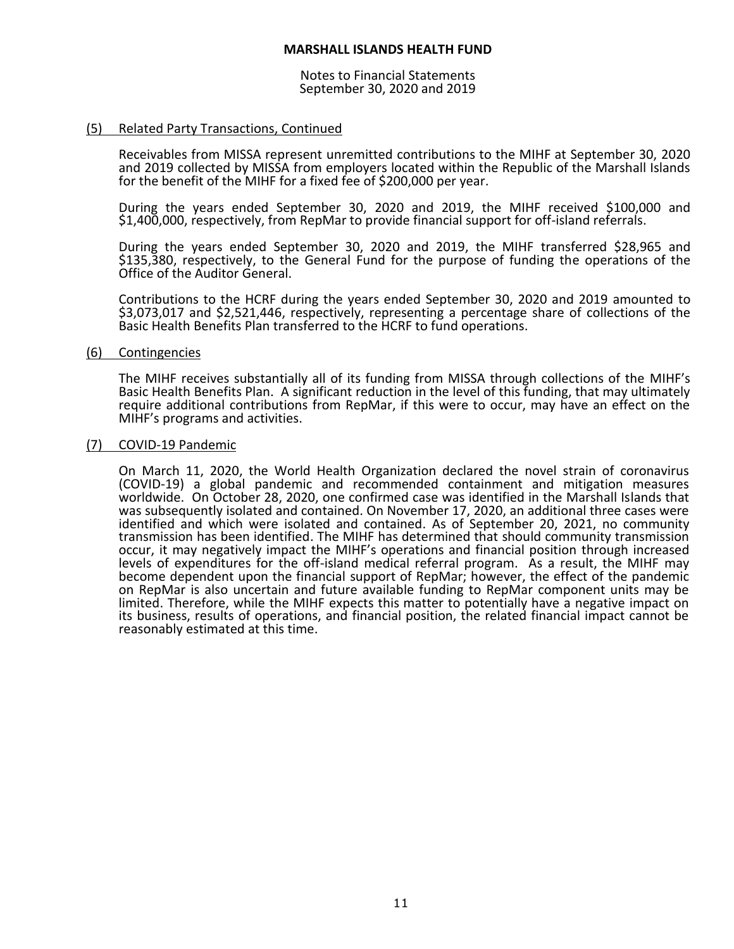Notes to Financial Statements September 30, 2020 and 2019

# (5) Related Party Transactions, Continued

Receivables from MISSA represent unremitted contributions to the MIHF at September 30, 2020 and 2019 collected by MISSA from employers located within the Republic of the Marshall Islands for the benefit of the MIHF for a fixed fee of \$200,000 per year.

During the years ended September 30, 2020 and 2019, the MIHF received \$100,000 and \$1,400,000, respectively, from RepMar to provide financial support for off-island referrals.

During the years ended September 30, 2020 and 2019, the MIHF transferred \$28,965 and \$135,380, respectively, to the General Fund for the purpose of funding the operations of the Office of the Auditor General.

Contributions to the HCRF during the years ended September 30, 2020 and 2019 amounted to \$3,073,017 and \$2,521,446, respectively, representing a percentage share of collections of the Basic Health Benefits Plan transferred to the HCRF to fund operations.

#### (6) Contingencies

The MIHF receives substantially all of its funding from MISSA through collections of the MIHF's Basic Health Benefits Plan. A significant reduction in the level of this funding, that may ultimately require additional contributions from RepMar, if this were to occur, may have an effect on the MIHF's programs and activities.

#### (7) COVID-19 Pandemic

On March 11, 2020, the World Health Organization declared the novel strain of coronavirus (COVID-19) a global pandemic and recommended containment and mitigation measures worldwide. On October 28, 2020, one confirmed case was identified in the Marshall Islands that was subsequently isolated and contained. On November 17, 2020, an additional three cases were identified and which were isolated and contained. As of September 20, 2021, no community transmission has been identified. The MIHF has determined that should community transmission occur, it may negatively impact the MIHF's operations and financial position through increased levels of expenditures for the off-island medical referral program. As a result, the MIHF may become dependent upon the financial support of RepMar; however, the effect of the pandemic on RepMar is also uncertain and future available funding to RepMar component units may be limited. Therefore, while the MIHF expects this matter to potentially have a negative impact on its business, results of operations, and financial position, the related financial impact cannot be reasonably estimated at this time.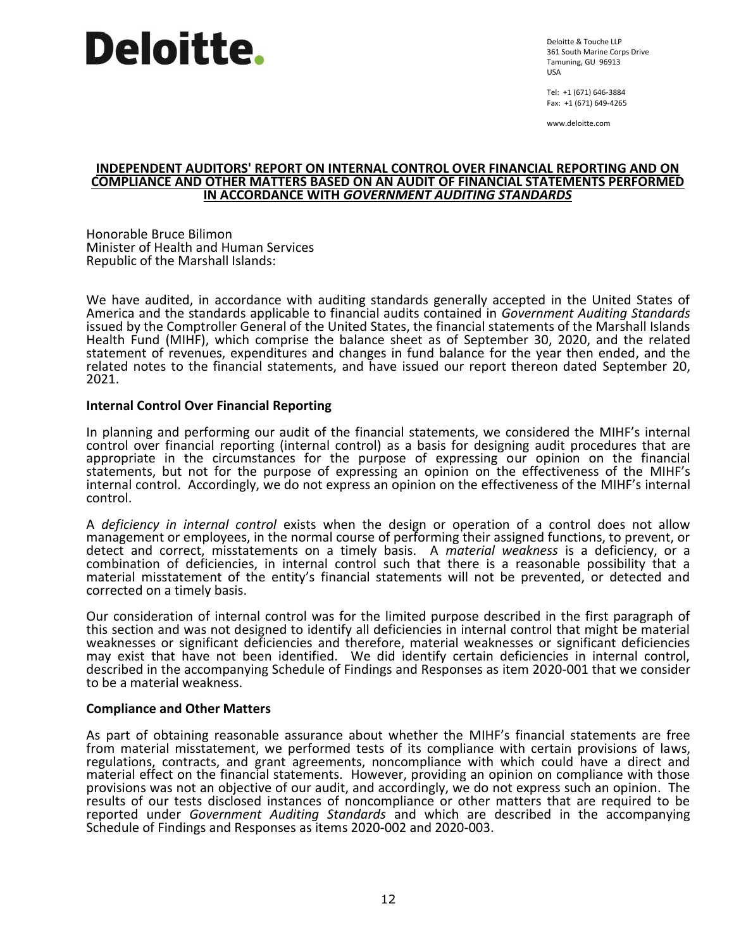Deloitte & Touche LLP 361 South Marine Corps Drive Tamuning, GU 96913 USA

Tel: +1 (671) 646-3884 Fax: +1 (671) 649-4265

www.deloitte.com

#### **INDEPENDENT AUDITORS' REPORT ON INTERNAL CONTROL OVER FINANCIAL REPORTING AND ON COMPLIANCE AND OTHER MATTERS BASED ON AN AUDIT OF FINANCIAL STATEMENTS PERFORMED IN ACCORDANCE WITH** *GOVERNMENT AUDITING STANDARDS*

Honorable Bruce Bilimon Minister of Health and Human Services Republic of the Marshall Islands:

We have audited, in accordance with auditing standards generally accepted in the United States of America and the standards applicable to financial audits contained in *Government Auditing Standards* issued by the Comptroller General of the United States, the financial statements of the Marshall Islands Health Fund (MIHF), which comprise the balance sheet as of September 30, 2020, and the related statement of revenues, expenditures and changes in fund balance for the year then ended, and the related notes to the financial statements, and have issued our report thereon dated September 20, 2021.

# **Internal Control Over Financial Reporting**

In planning and performing our audit of the financial statements, we considered the MIHF's internal control over financial reporting (internal control) as a basis for designing audit procedures that are appropriate in the circumstances for the purpose of expressing our opinion on the financial statements, but not for the purpose of expressing an opinion on the effectiveness of the MIHF's internal control. Accordingly, we do not express an opinion on the effectiveness of the MIHF's internal control.

A *deficiency in internal control* exists when the design or operation of a control does not allow management or employees, in the normal course of performing their assigned functions, to prevent, or detect and correct, misstatements on a timely basis. A *material weakness* is a deficiency, or a combination of deficiencies, in internal control such that there is a reasonable possibility that a material misstatement of the entity's financial statements will not be prevented, or detected and corrected on a timely basis.

Our consideration of internal control was for the limited purpose described in the first paragraph of this section and was not designed to identify all deficiencies in internal control that might be material weaknesses or significant deficiencies and therefore, material weaknesses or significant deficiencies may exist that have not been identified. We did identify certain deficiencies in internal control, described in the accompanying Schedule of Findings and Responses as item 2020-001 that we consider to be a material weakness.

# **Compliance and Other Matters**

As part of obtaining reasonable assurance about whether the MIHF's financial statements are free from material misstatement, we performed tests of its compliance with certain provisions of laws, regulations, contracts, and grant agreements, noncompliance with which could have a direct and material effect on the financial statements. However, providing an opinion on compliance with those provisions was not an objective of our audit, and accordingly, we do not express such an opinion. The results of our tests disclosed instances of noncompliance or other matters that are required to be reported under *Government Auditing Standards* and which are described in the accompanying Schedule of Findings and Responses as items 2020-002 and 2020-003.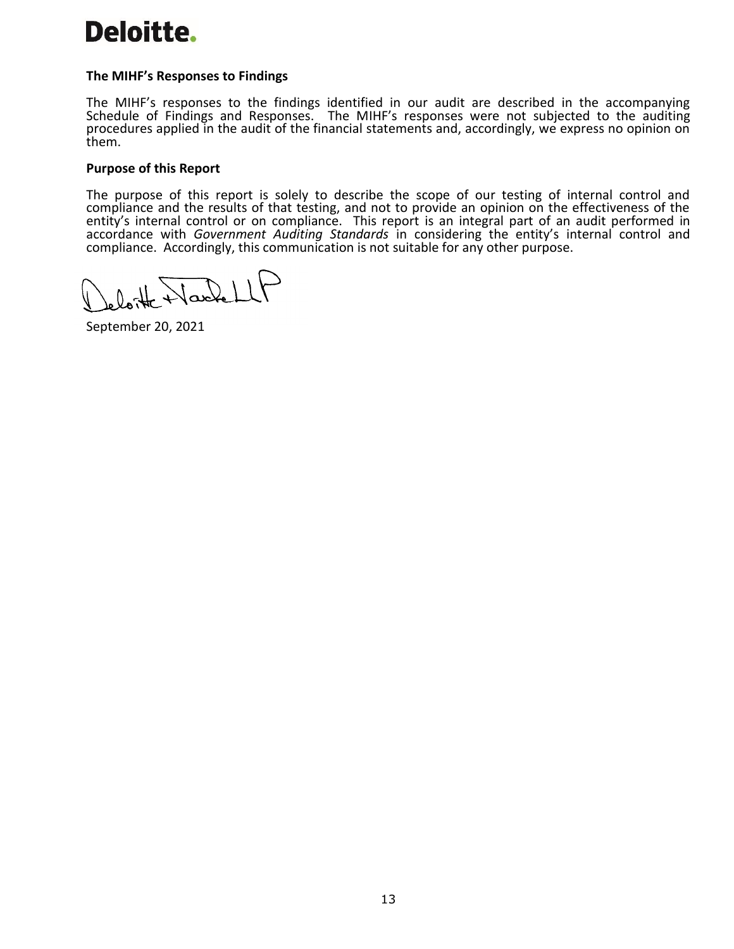# **The MIHF's Responses to Findings**

The MIHF's responses to the findings identified in our audit are described in the accompanying Schedule of Findings and Responses. The MIHF's responses were not subjected to the auditing procedures applied in the audit of the financial statements and, accordingly, we express no opinion on them.

# **Purpose of this Report**

The purpose of this report is solely to describe the scope of our testing of internal control and compliance and the results of that testing, and not to provide an opinion on the effectiveness of the entity's internal control or on compliance. This report is an integral part of an audit performed in accordance with *Government Auditing Standards* in considering the entity's internal control and compliance. Accordingly, this communication is not suitable for any other purpose.

loite Wackell

September 20, 2021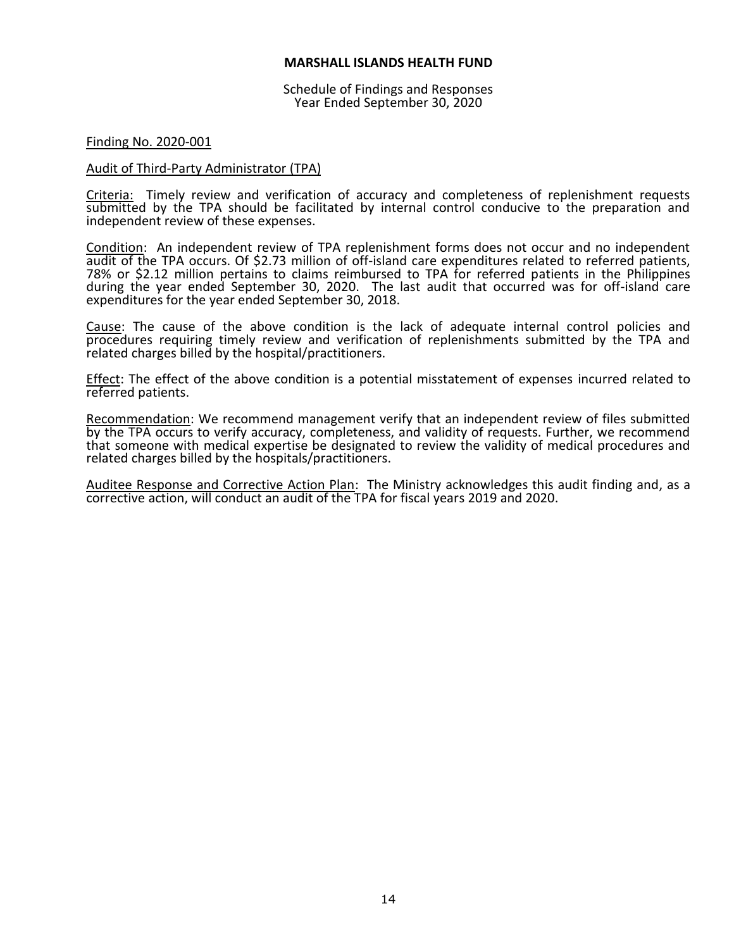Schedule of Findings and Responses Year Ended September 30, 2020

#### Finding No. 2020-001

#### Audit of Third-Party Administrator (TPA)

Criteria: Timely review and verification of accuracy and completeness of replenishment requests submitted by the TPA should be facilitated by internal control conducive to the preparation and independent review of these expenses.

Condition: An independent review of TPA replenishment forms does not occur and no independent audit of the TPA occurs. Of \$2.73 million of off-island care expenditures related to referred patients, 78% or \$2.12 million pertains to claims reimbursed to TPA for referred patients in the Philippines during the year ended September 30, 2020. The last audit that occurred was for off-island care expenditures for the year ended September 30, 2018.

Cause: The cause of the above condition is the lack of adequate internal control policies and procedures requiring timely review and verification of replenishments submitted by the TPA and related charges billed by the hospital/practitioners.

Effect: The effect of the above condition is a potential misstatement of expenses incurred related to referred patients.

Recommendation: We recommend management verify that an independent review of files submitted by the TPA occurs to verify accuracy, completeness, and validity of requests. Further, we recommend that someone with medical expertise be designated to review the validity of medical procedures and related charges billed by the hospitals/practitioners.

Auditee Response and Corrective Action Plan: The Ministry acknowledges this audit finding and, as a corrective action, will conduct an audit of the TPA for fiscal years 2019 and 2020.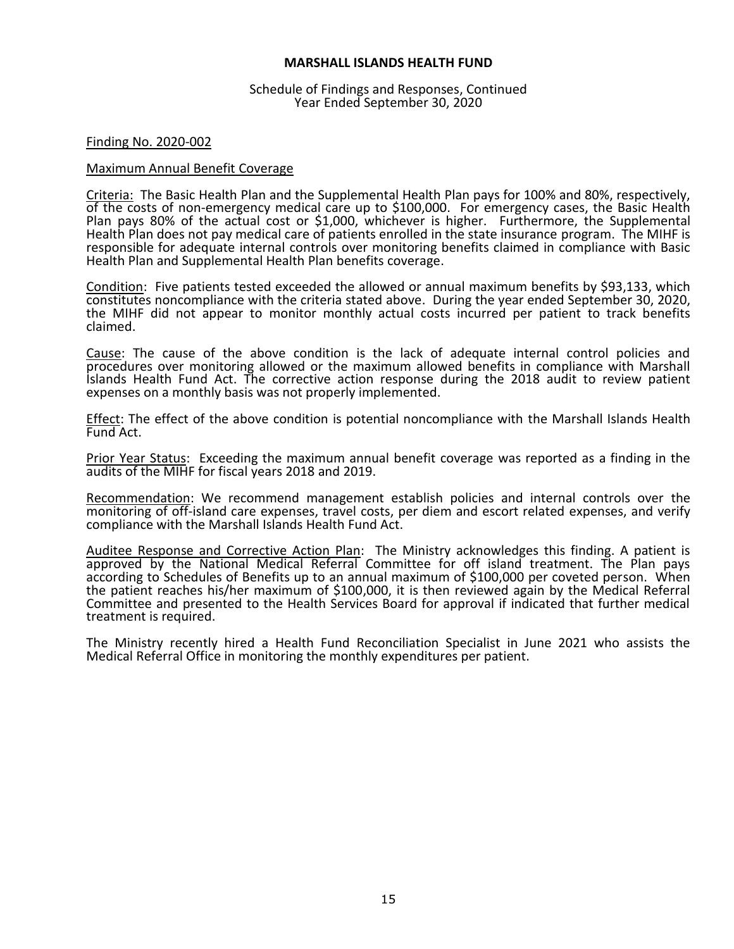Schedule of Findings and Responses, Continued Year Ended September 30, 2020

#### Finding No. 2020-002

#### Maximum Annual Benefit Coverage

Criteria: The Basic Health Plan and the Supplemental Health Plan pays for 100% and 80%, respectively, of the costs of non-emergency medical care up to \$100,000. For emergency cases, the Basic Health Plan pays 80% of the actual cost or \$1,000, whichever is higher. Furthermore, the Supplemental Health Plan does not pay medical care of patients enrolled in the state insurance program. The MIHF is responsible for adequate internal controls over monitoring benefits claimed in compliance with Basic Health Plan and Supplemental Health Plan benefits coverage.

Condition: Five patients tested exceeded the allowed or annual maximum benefits by \$93,133, which constitutes noncompliance with the criteria stated above. During the year ended September 30, 2020, the MIHF did not appear to monitor monthly actual costs incurred per patient to track benefits claimed.

Cause: The cause of the above condition is the lack of adequate internal control policies and procedures over monitoring allowed or the maximum allowed benefits in compliance with Marshall Islands Health Fund Act. The corrective action response during the 2018 audit to review patient expenses on a monthly basis was not properly implemented.

Effect: The effect of the above condition is potential noncompliance with the Marshall Islands Health Fund Act.

Prior Year Status: Exceeding the maximum annual benefit coverage was reported as a finding in the audits of the MIHF for fiscal years 2018 and 2019.

Recommendation: We recommend management establish policies and internal controls over the monitoring of off-island care expenses, travel costs, per diem and escort related expenses, and verify compliance with the Marshall Islands Health Fund Act.

Auditee Response and Corrective Action Plan: The Ministry acknowledges this finding. A patient is approved by the National Medical Referral Committee for off island treatment. The Plan pays according to Schedules of Benefits up to an annual maximum of \$100,000 per coveted person. When the patient reaches his/her maximum of \$100,000, it is then reviewed again by the Medical Referral Committee and presented to the Health Services Board for approval if indicated that further medical treatment is required.

The Ministry recently hired a Health Fund Reconciliation Specialist in June 2021 who assists the Medical Referral Office in monitoring the monthly expenditures per patient.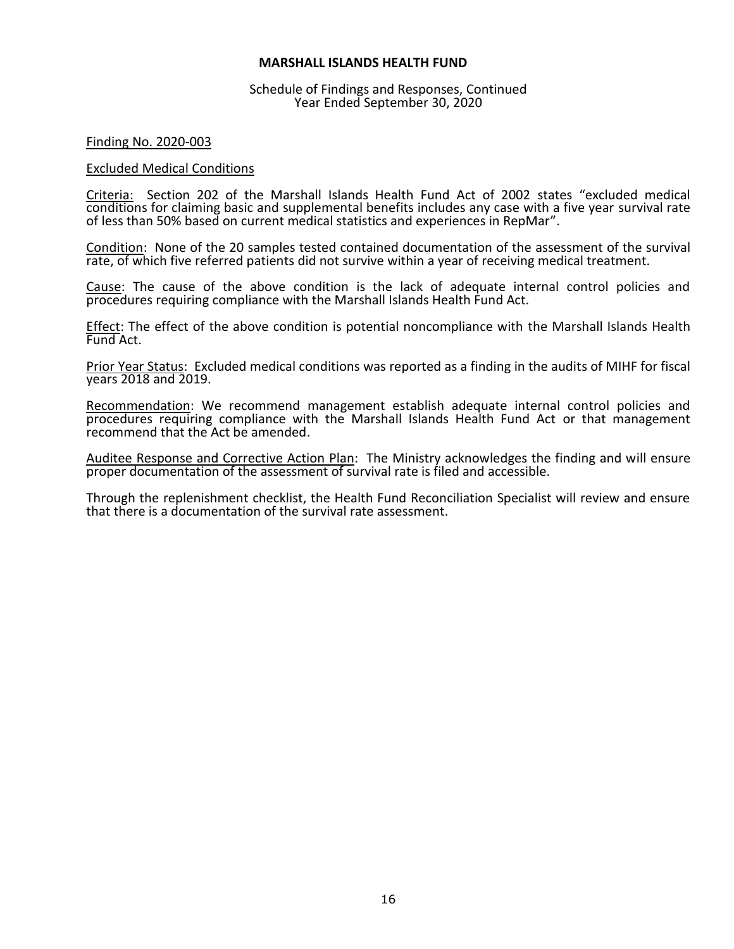#### Schedule of Findings and Responses, Continued Year Ended September 30, 2020

#### Finding No. 2020-003

#### Excluded Medical Conditions

Criteria: Section 202 of the Marshall Islands Health Fund Act of 2002 states "excluded medical conditions for claiming basic and supplemental benefits includes any case with a five year survival rate of less than 50% based on current medical statistics and experiences in RepMar".

Condition: None of the 20 samples tested contained documentation of the assessment of the survival rate, of which five referred patients did not survive within a year of receiving medical treatment.

Cause: The cause of the above condition is the lack of adequate internal control policies and procedures requiring compliance with the Marshall Islands Health Fund Act.

Effect: The effect of the above condition is potential noncompliance with the Marshall Islands Health Fund Act.

Prior Year Status: Excluded medical conditions was reported as a finding in the audits of MIHF for fiscal years 2018 and 2019.

Recommendation: We recommend management establish adequate internal control policies and procedures requiring compliance with the Marshall Islands Health Fund Act or that management recommend that the Act be amended.

Auditee Response and Corrective Action Plan: The Ministry acknowledges the finding and will ensure proper documentation of the assessment of survival rate is filed and accessible.

Through the replenishment checklist, the Health Fund Reconciliation Specialist will review and ensure that there is a documentation of the survival rate assessment.